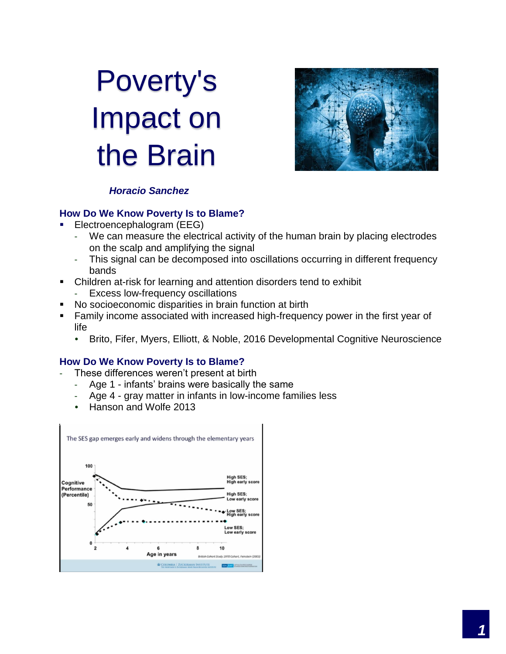# Poverty's Impact on the Brain



## *Horacio Sanchez*

#### **How Do We Know Poverty Is to Blame?**

- Electroencephalogram (EEG)
	- We can measure the electrical activity of the human brain by placing electrodes on the scalp and amplifying the signal
	- This signal can be decomposed into oscillations occurring in different frequency bands
- Children at-risk for learning and attention disorders tend to exhibit
	- Excess low-frequency oscillations
- No socioeconomic disparities in brain function at birth
- Family income associated with increased high-frequency power in the first year of life
	- Brito, Fifer, Myers, Elliott, & Noble, 2016 Developmental Cognitive Neuroscience

#### **How Do We Know Poverty Is to Blame?**

- These differences weren't present at birth
	- Age 1 infants' brains were basically the same
	- Age 4 gray matter in infants in low-income families less
	- Hanson and Wolfe 2013

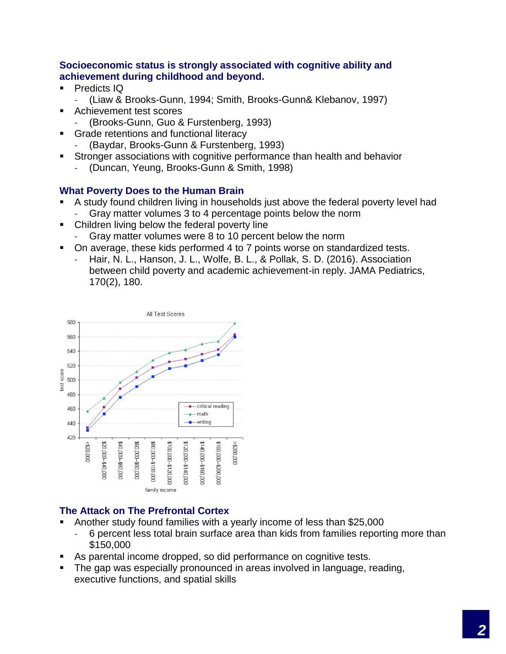#### **Socioeconomic status is strongly associated with cognitive ability and achievement during childhood and beyond.**

- Predicts IQ
	- (Liaw & Brooks-Gunn, 1994; Smith, Brooks-Gunn& Klebanov, 1997)
- Achievement test scores
	- (Brooks-Gunn, Guo & Furstenberg, 1993)
- Grade retentions and functional literacy
	- (Baydar, Brooks-Gunn & Furstenberg, 1993)
- Stronger associations with cognitive performance than health and behavior
	- (Duncan, Yeung, Brooks-Gunn & Smith, 1998)

## **What Poverty Does to the Human Brain**

- A study found children living in households just above the federal poverty level had Gray matter volumes 3 to 4 percentage points below the norm
- Children living below the federal poverty line
	- Gray matter volumes were 8 to 10 percent below the norm
- On average, these kids performed 4 to 7 points worse on standardized tests.
	- Hair, N. L., Hanson, J. L., Wolfe, B. L., & Pollak, S. D. (2016). Association between child poverty and academic achievement-in reply. JAMA Pediatrics, 170(2), 180.



# **The Attack on The Prefrontal Cortex**

- Another study found families with a yearly income of less than \$25,000
	- 6 percent less total brain surface area than kids from families reporting more than \$150,000
- As parental income dropped, so did performance on cognitive tests.
- The gap was especially pronounced in areas involved in language, reading, executive functions, and spatial skills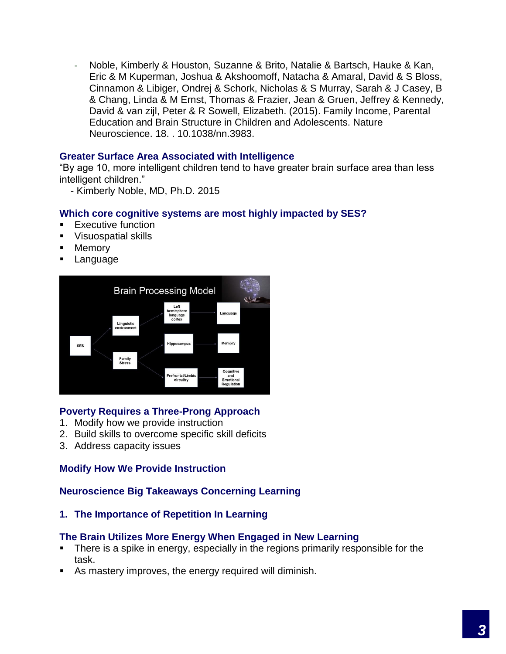- Noble, Kimberly & Houston, Suzanne & Brito, Natalie & Bartsch, Hauke & Kan, Eric & M Kuperman, Joshua & Akshoomoff, Natacha & Amaral, David & S Bloss, Cinnamon & Libiger, Ondrej & Schork, Nicholas & S Murray, Sarah & J Casey, B & Chang, Linda & M Ernst, Thomas & Frazier, Jean & Gruen, Jeffrey & Kennedy, David & van zijl, Peter & R Sowell, Elizabeth. (2015). Family Income, Parental Education and Brain Structure in Children and Adolescents. Nature Neuroscience. 18. . 10.1038/nn.3983.

#### **Greater Surface Area Associated with Intelligence**

"By age 10, more intelligent children tend to have greater brain surface area than less intelligent children."

- Kimberly Noble, MD, Ph.D. 2015

#### **Which core cognitive systems are most highly impacted by SES?**

- Executive function
- Visuospatial skills
- Memory
- Language



#### **Poverty Requires a Three-Prong Approach**

- 1. Modify how we provide instruction
- 2. Build skills to overcome specific skill deficits
- 3. Address capacity issues

#### **Modify How We Provide Instruction**

#### **Neuroscience Big Takeaways Concerning Learning**

**1. The Importance of Repetition In Learning** 

#### **The Brain Utilizes More Energy When Engaged in New Learning**

- There is a spike in energy, especially in the regions primarily responsible for the task.
- As mastery improves, the energy required will diminish.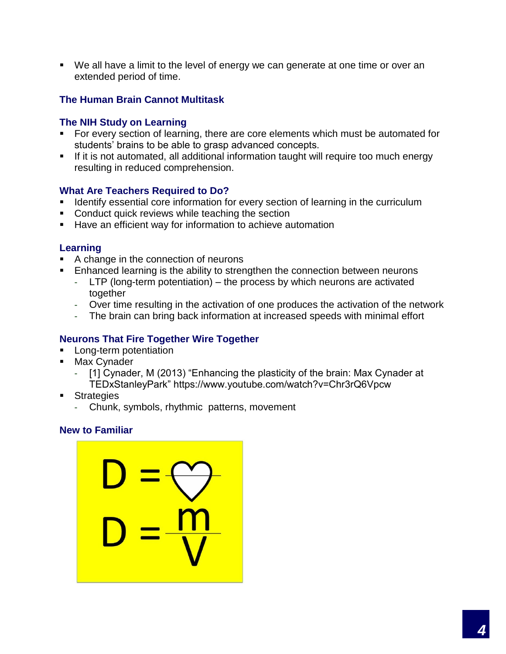▪ We all have a limit to the level of energy we can generate at one time or over an extended period of time.

## **The Human Brain Cannot Multitask**

#### **The NIH Study on Learning**

- For every section of learning, there are core elements which must be automated for students' brains to be able to grasp advanced concepts.
- **EXT** If it is not automated, all additional information taught will require too much energy resulting in reduced comprehension.

#### **What Are Teachers Required to Do?**

- **EXED** Identify essential core information for every section of learning in the curriculum
- Conduct quick reviews while teaching the section
- Have an efficient way for information to achieve automation

#### **Learning**

- A change in the connection of neurons
- **Enhanced learning is the ability to strengthen the connection between neurons** 
	- LTP (long-term potentiation) the process by which neurons are activated together
	- Over time resulting in the activation of one produces the activation of the network
	- The brain can bring back information at increased speeds with minimal effort

#### **Neurons That Fire Together Wire Together**

- **EXEC** Long-term potentiation
- Max Cynader
	- [1] Cynader, M (2013) "Enhancing the plasticity of the brain: Max Cynader at TEDxStanleyPark" https://www.youtube.com/watch?v=Chr3rQ6Vpcw
- Strategies
	- Chunk, symbols, rhythmic patterns, movement

#### **New to Familiar**

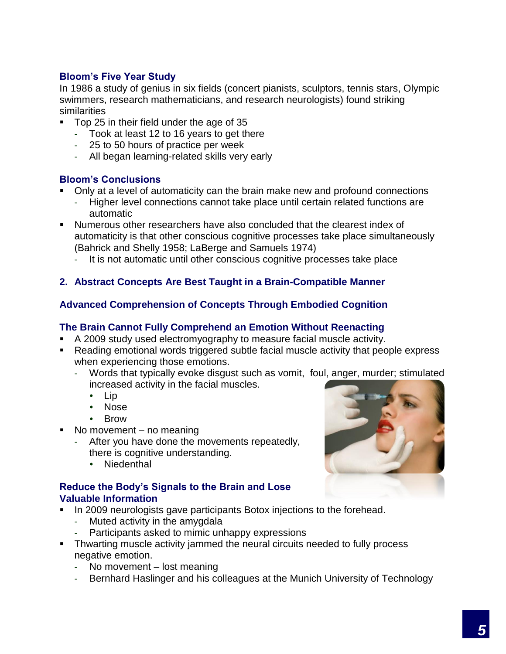## **Bloom's Five Year Study**

In 1986 a study of genius in six fields (concert pianists, sculptors, tennis stars, Olympic swimmers, research mathematicians, and research neurologists) found striking similarities

- Top 25 in their field under the age of 35
	- Took at least 12 to 16 years to get there
	- 25 to 50 hours of practice per week
	- All began learning-related skills very early

## **Bloom's Conclusions**

- Only at a level of automaticity can the brain make new and profound connections
	- Higher level connections cannot take place until certain related functions are automatic
- Numerous other researchers have also concluded that the clearest index of automaticity is that other conscious cognitive processes take place simultaneously (Bahrick and Shelly 1958; LaBerge and Samuels 1974)
	- It is not automatic until other conscious cognitive processes take place

# **2. Abstract Concepts Are Best Taught in a Brain-Compatible Manner**

## **Advanced Comprehension of Concepts Through Embodied Cognition**

#### **The Brain Cannot Fully Comprehend an Emotion Without Reenacting**

- A 2009 study used electromyography to measure facial muscle activity.
- Reading emotional words triggered subtle facial muscle activity that people express when experiencing those emotions.
	- Words that typically evoke disgust such as vomit, foul, anger, murder; stimulated increased activity in the facial muscles.
		- Lip
		- Nose
		- Brow
- No movement  $-$  no meaning
	- After you have done the movements repeatedly, there is cognitive understanding.
		- Niedenthal

## **Reduce the Body's Signals to the Brain and Lose Valuable Information**

- **In 2009 neurologists gave participants Botox injections to the forehead.** 
	- Muted activity in the amygdala
	- Participants asked to mimic unhappy expressions
- **•** Thwarting muscle activity jammed the neural circuits needed to fully process negative emotion.
	- No movement lost meaning
	- Bernhard Haslinger and his colleagues at the Munich University of Technology

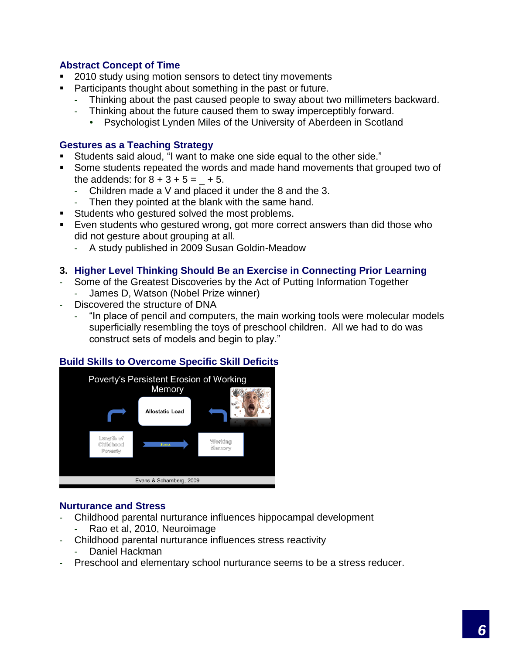## **Abstract Concept of Time**

- 2010 study using motion sensors to detect tiny movements
- **Participants thought about something in the past or future.** 
	- Thinking about the past caused people to sway about two millimeters backward.
	- Thinking about the future caused them to sway imperceptibly forward.
		- Psychologist Lynden Miles of the University of Aberdeen in Scotland

#### **Gestures as a Teaching Strategy**

- Students said aloud, "I want to make one side equal to the other side."
- Some students repeated the words and made hand movements that grouped two of the addends: for  $8 + 3 + 5 = +5$ .
	- Children made a V and placed it under the 8 and the 3.
	- Then they pointed at the blank with the same hand.
- **EXECUTE:** Students who gestured solved the most problems.
- Even students who gestured wrong, got more correct answers than did those who did not gesture about grouping at all.
	- A study published in 2009 Susan Goldin-Meadow

#### **3. Higher Level Thinking Should Be an Exercise in Connecting Prior Learning**

- Some of the Greatest Discoveries by the Act of Putting Information Together
	- James D, Watson (Nobel Prize winner)
- Discovered the structure of DNA
	- "In place of pencil and computers, the main working tools were molecular models superficially resembling the toys of preschool children. All we had to do was construct sets of models and begin to play."

#### **Build Skills to Overcome Specific Skill Deficits**



#### **Nurturance and Stress**

- Childhood parental nurturance influences hippocampal development
	- Rao et al, 2010, Neuroimage
- Childhood parental nurturance influences stress reactivity
	- Daniel Hackman
- Preschool and elementary school nurturance seems to be a stress reducer.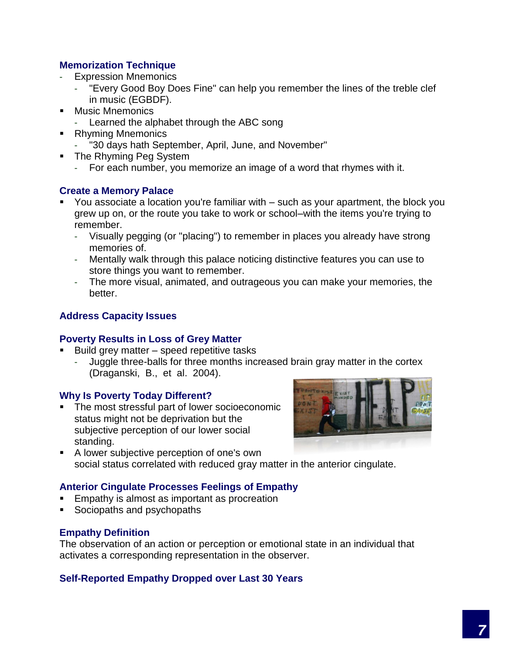## **Memorization Technique**

- Expression Mnemonics
	- "Every Good Boy Does Fine" can help you remember the lines of the treble clef in music (EGBDF).
- Music Mnemonics
	- Learned the alphabet through the ABC song
- Rhyming Mnemonics
	- "30 days hath September, April, June, and November"
- The Rhyming Peg System
	- For each number, you memorize an image of a word that rhymes with it.

## **Create a Memory Palace**

- You associate a location you're familiar with such as your apartment, the block you grew up on, or the route you take to work or school–with the items you're trying to remember.
	- Visually pegging (or "placing") to remember in places you already have strong memories of.
	- Mentally walk through this palace noticing distinctive features you can use to store things you want to remember.
	- The more visual, animated, and outrageous you can make your memories, the better.

## **Address Capacity Issues**

#### **Poverty Results in Loss of Grey Matter**

- Build grey matter  $-$  speed repetitive tasks
	- Juggle three-balls for three months increased brain gray matter in the cortex (Draganski, B., et al. 2004).

#### **Why Is Poverty Today Different?**

■ The most stressful part of lower socioeconomic status might not be deprivation but the subjective perception of our lower social standing.



■ A lower subjective perception of one's own social status correlated with reduced gray matter in the anterior cingulate.

## **Anterior Cingulate Processes Feelings of Empathy**

- Empathy is almost as important as procreation
- Sociopaths and psychopaths

#### **Empathy Definition**

The observation of an action or perception or emotional state in an individual that activates a corresponding representation in the observer.

## **Self-Reported Empathy Dropped over Last 30 Years**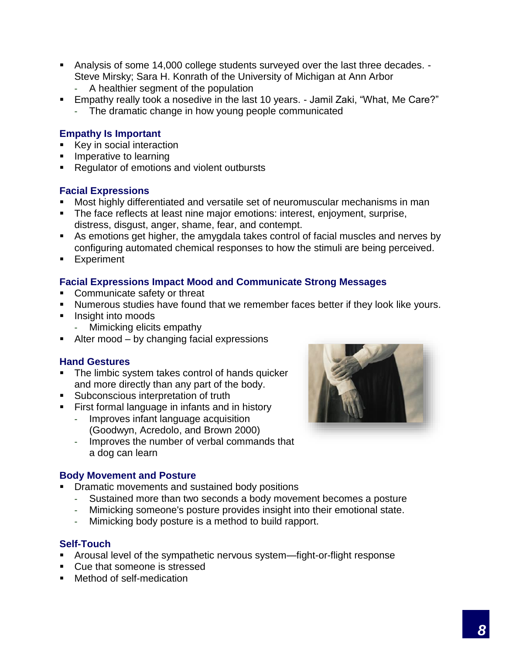- Analysis of some 14,000 college students surveyed over the last three decades. -Steve Mirsky; Sara H. Konrath of the University of Michigan at Ann Arbor
	- A healthier segment of the population
- Empathy really took a nosedive in the last 10 years. Jamil Zaki, "What, Me Care?"
	- The dramatic change in how young people communicated

## **Empathy Is Important**

- Key in social interaction
- **EXECUTE:** Imperative to learning
- Regulator of emotions and violent outbursts

## **Facial Expressions**

- Most highly differentiated and versatile set of neuromuscular mechanisms in man
- **The face reflects at least nine major emotions: interest, enjoyment, surprise,** distress, disgust, anger, shame, fear, and contempt.
- As emotions get higher, the amygdala takes control of facial muscles and nerves by configuring automated chemical responses to how the stimuli are being perceived.
- **Experiment**

# **Facial Expressions Impact Mood and Communicate Strong Messages**

- Communicate safety or threat
- **E** Numerous studies have found that we remember faces better if they look like yours.
- Insight into moods
	- Mimicking elicits empathy
- Alter mood by changing facial expressions

## **Hand Gestures**

- The limbic system takes control of hands quicker and more directly than any part of the body.
- Subconscious interpretation of truth
- **EXECT** First formal language in infants and in history
	- Improves infant language acquisition (Goodwyn, Acredolo, and Brown 2000)
		- Improves the number of verbal commands that a dog can learn

#### **Body Movement and Posture**

- **Dramatic movements and sustained body positions** 
	- Sustained more than two seconds a body movement becomes a posture
	- Mimicking someone's posture provides insight into their emotional state.
	- Mimicking body posture is a method to build rapport.

## **Self-Touch**

- Arousal level of the sympathetic nervous system—fight-or-flight response
- Cue that someone is stressed
- Method of self-medication

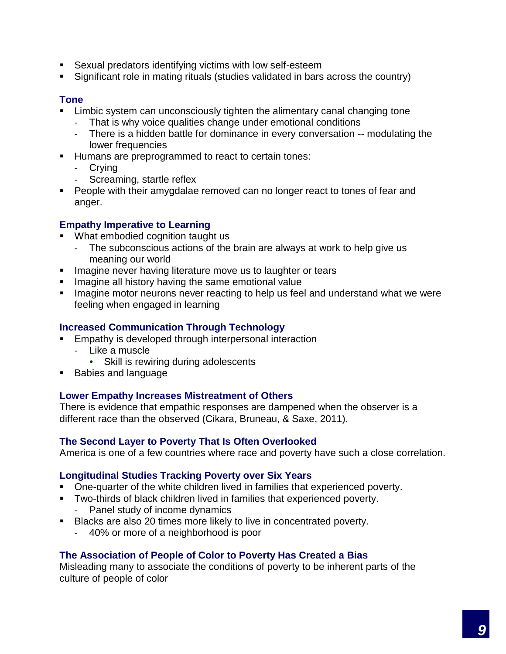- Sexual predators identifying victims with low self-esteem
- Significant role in mating rituals (studies validated in bars across the country)

#### **Tone**

- Limbic system can unconsciously tighten the alimentary canal changing tone
	- That is why voice qualities change under emotional conditions
	- There is a hidden battle for dominance in every conversation -- modulating the lower frequencies
- Humans are preprogrammed to react to certain tones:
	- Crying<br>- Screan
	- Screaming, startle reflex
- People with their amygdalae removed can no longer react to tones of fear and anger.

# **Empathy Imperative to Learning**

- What embodied cognition taught us
	- The subconscious actions of the brain are always at work to help give us meaning our world
- **EXTER** Imagine never having literature move us to laughter or tears
- **EXED Imagine all history having the same emotional value**
- **EXED Imagine motor neurons never reacting to help us feel and understand what we were** feeling when engaged in learning

## **Increased Communication Through Technology**

- Empathy is developed through interpersonal interaction
	- Like a muscle
		- Skill is rewiring during adolescents
- Babies and language

## **Lower Empathy Increases Mistreatment of Others**

There is evidence that empathic responses are dampened when the observer is a different race than the observed (Cikara, Bruneau, & Saxe, 2011).

## **The Second Layer to Poverty That Is Often Overlooked**

America is one of a few countries where race and poverty have such a close correlation.

## **Longitudinal Studies Tracking Poverty over Six Years**

- One-quarter of the white children lived in families that experienced poverty.
- Two-thirds of black children lived in families that experienced poverty.
	- Panel study of income dynamics
- Blacks are also 20 times more likely to live in concentrated poverty.
	- 40% or more of a neighborhood is poor

# **The Association of People of Color to Poverty Has Created a Bias**

Misleading many to associate the conditions of poverty to be inherent parts of the culture of people of color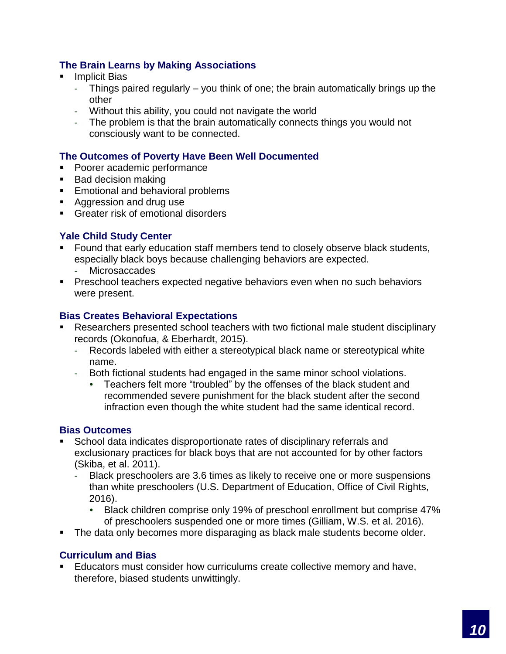## **The Brain Learns by Making Associations**

- **Implicit Bias** 
	- Things paired regularly you think of one; the brain automatically brings up the other
	- Without this ability, you could not navigate the world
	- The problem is that the brain automatically connects things you would not consciously want to be connected.

## **The Outcomes of Poverty Have Been Well Documented**

- Poorer academic performance
- Bad decision making
- Emotional and behavioral problems
- Aggression and drug use
- **Greater risk of emotional disorders**

## **Yale Child Study Center**

- Found that early education staff members tend to closely observe black students, especially black boys because challenging behaviors are expected.
	- Microsaccades
- **Preschool teachers expected negative behaviors even when no such behaviors** were present.

#### **Bias Creates Behavioral Expectations**

- Researchers presented school teachers with two fictional male student disciplinary records (Okonofua, & Eberhardt, 2015).
	- Records labeled with either a stereotypical black name or stereotypical white name.
	- Both fictional students had engaged in the same minor school violations.
		- Teachers felt more "troubled" by the offenses of the black student and recommended severe punishment for the black student after the second infraction even though the white student had the same identical record.

#### **Bias Outcomes**

- School data indicates disproportionate rates of disciplinary referrals and exclusionary practices for black boys that are not accounted for by other factors (Skiba, et al. 2011).
	- Black preschoolers are 3.6 times as likely to receive one or more suspensions than white preschoolers (U.S. Department of Education, Office of Civil Rights, 2016).
		- Black children comprise only 19% of preschool enrollment but comprise 47% of preschoolers suspended one or more times (Gilliam, W.S. et al. 2016).
- **The data only becomes more disparaging as black male students become older.**

#### **Curriculum and Bias**

Educators must consider how curriculums create collective memory and have, therefore, biased students unwittingly.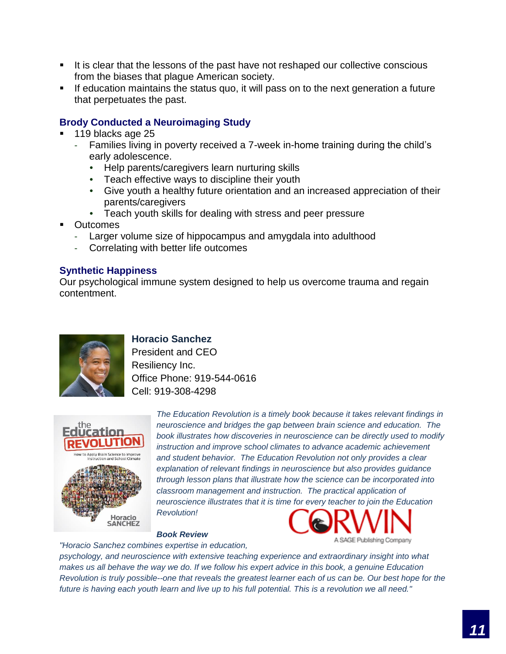- It is clear that the lessons of the past have not reshaped our collective conscious from the biases that plague American society.
- **EXT** If education maintains the status quo, it will pass on to the next generation a future that perpetuates the past.

#### **Brody Conducted a Neuroimaging Study**

- 119 blacks age 25
	- Families living in poverty received a 7-week in-home training during the child's early adolescence.
		- Help parents/caregivers learn nurturing skills
		- Teach effective ways to discipline their youth
		- Give youth a healthy future orientation and an increased appreciation of their parents/caregivers
		- Teach youth skills for dealing with stress and peer pressure
- **Outcomes** 
	- Larger volume size of hippocampus and amygdala into adulthood
	- Correlating with better life outcomes

#### **Synthetic Happiness**

Our psychological immune system designed to help us overcome trauma and regain contentment.



## **Horacio Sanchez**

President and CEO Resiliency Inc. Office Phone: 919-544-0616 Cell: 919-308-4298



*The Education Revolution is a timely book because it takes relevant findings in neuroscience and bridges the gap between brain science and education. The book illustrates how discoveries in neuroscience can be directly used to modify instruction and improve school climates to advance academic achievement and student behavior. The Education Revolution not only provides a clear explanation of relevant findings in neuroscience but also provides guidance through lesson plans that illustrate how the science can be incorporated into classroom management and instruction. The practical application of neuroscience illustrates that it is time for every teacher to join the Education Revolution!*

*Book Review*



*"Horacio Sanchez combines expertise in education, psychology, and neuroscience with extensive teaching experience and extraordinary insight into what*  makes us all behave the way we do. If we follow his expert advice in this book, a genuine Education *Revolution is truly possible--one that reveals the greatest learner each of us can be. Our best hope for the future is having each youth learn and live up to his full potential. This is a revolution we all need."*